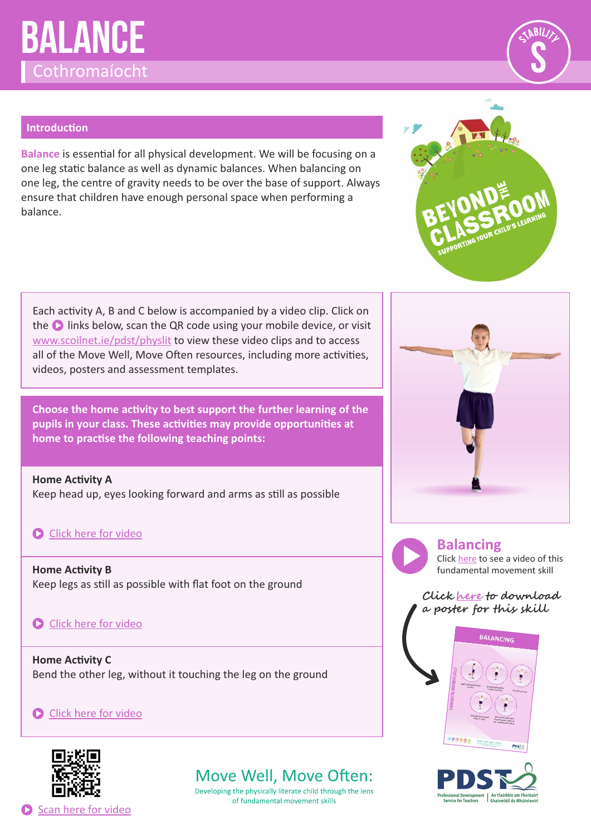# **Balance** Cothromaíocht



#### **Introduction**

**Balance** is essential for all physical development. We will be focusing on a one leg static balance as well as dynamic balances. When balancing on one leg, the centre of gravity needs to be over the base of support. Always ensure that children have enough personal space when performing a balance.

Each activity A, B and C below is accompanied by a video clip. Click on the **D** links below, scan the QR code using your mobile device, or visit [www.scoilnet.ie/pdst/physlit](https://www.scoilnet.ie/pdst/physlit/) to view these video clips and to access all of the Move Well, Move Often resources, including more activities, videos, posters and assessment templates.

**Choose the home activity to best support the further learning of the** pupils in your class. These activities may provide opportunities at home to practise the following teaching points:

**Home Activity A** Keep head up, eyes looking forward and arms as still as possible

#### **C** [Click here for video](https://vimeo.com/409588960)

**Home Activity B** Keep legs as still as possible with flat foot on the ground

#### Click here for video

**Home Activity C** Bend the other leg, without it touching the leg on the ground

Click here for video



## Move Well, Move Often:

Developing the physically literate child through the lens of fundamental movement skills





**Balancing**

Click [here](https://vimeo.com/214481395) to see a video of this fundamental movement skill

**Clic[k](https://www.scoilnet.ie/fileadmin/user_upload/PDST_FMS_Posters_English.pdf) [here t](https://pdst.ie/sites/default/files/PDST%20FMS%20Posters%20English.pdf)[o](https://www.scoilnet.ie/fileadmin/user_upload/PDST_FMS_Posters_English.pdf) download a poster for this skill**





Scan here for video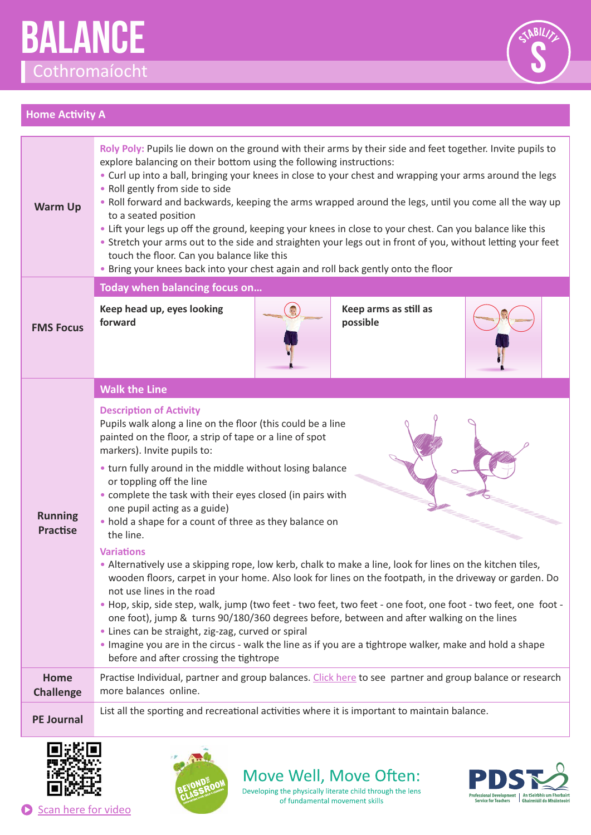



#### **Home Activity A**

| <b>Warm Up</b>                    | Roly Poly: Pupils lie down on the ground with their arms by their side and feet together. Invite pupils to<br>explore balancing on their bottom using the following instructions:<br>• Curl up into a ball, bringing your knees in close to your chest and wrapping your arms around the legs<br>• Roll gently from side to side<br>. Roll forward and backwards, keeping the arms wrapped around the legs, until you come all the way up<br>to a seated position<br>• Lift your legs up off the ground, keeping your knees in close to your chest. Can you balance like this<br>• Stretch your arms out to the side and straighten your legs out in front of you, without letting your feet<br>touch the floor. Can you balance like this<br>. Bring your knees back into your chest again and roll back gently onto the floor |
|-----------------------------------|---------------------------------------------------------------------------------------------------------------------------------------------------------------------------------------------------------------------------------------------------------------------------------------------------------------------------------------------------------------------------------------------------------------------------------------------------------------------------------------------------------------------------------------------------------------------------------------------------------------------------------------------------------------------------------------------------------------------------------------------------------------------------------------------------------------------------------|
|                                   | Today when balancing focus on                                                                                                                                                                                                                                                                                                                                                                                                                                                                                                                                                                                                                                                                                                                                                                                                   |
| <b>FMS Focus</b>                  | Keep head up, eyes looking<br>Keep arms as still as<br>forward<br>possible                                                                                                                                                                                                                                                                                                                                                                                                                                                                                                                                                                                                                                                                                                                                                      |
| <b>Running</b><br><b>Practise</b> | <b>Walk the Line</b>                                                                                                                                                                                                                                                                                                                                                                                                                                                                                                                                                                                                                                                                                                                                                                                                            |
|                                   | <b>Description of Activity</b><br>Pupils walk along a line on the floor (this could be a line<br>painted on the floor, a strip of tape or a line of spot<br>markers). Invite pupils to:<br>• turn fully around in the middle without losing balance<br>or toppling off the line<br>• complete the task with their eyes closed (in pairs with<br>one pupil acting as a guide)<br>• hold a shape for a count of three as they balance on<br>the line.                                                                                                                                                                                                                                                                                                                                                                             |
|                                   | <b>Variations</b><br>• Alternatively use a skipping rope, low kerb, chalk to make a line, look for lines on the kitchen tiles,<br>wooden floors, carpet in your home. Also look for lines on the footpath, in the driveway or garden. Do<br>not use lines in the road<br>. Hop, skip, side step, walk, jump (two feet - two feet, two feet - one foot, one foot - two feet, one foot -<br>one foot), jump & turns 90/180/360 degrees before, between and after walking on the lines<br>• Lines can be straight, zig-zag, curved or spiral<br>Imagine you are in the circus - walk the line as if you are a tightrope walker, make and hold a shape<br>before and after crossing the tightrope                                                                                                                                   |
| <b>Home</b><br><b>Challenge</b>   | Practise Individual, partner and group balances. Click here to see partner and group balance or research<br>more balances online.                                                                                                                                                                                                                                                                                                                                                                                                                                                                                                                                                                                                                                                                                               |
| <b>PE Journal</b>                 | List all the sporting and recreational activities where it is important to maintain balance.                                                                                                                                                                                                                                                                                                                                                                                                                                                                                                                                                                                                                                                                                                                                    |
|                                   |                                                                                                                                                                                                                                                                                                                                                                                                                                                                                                                                                                                                                                                                                                                                                                                                                                 |





Move Well, Move Often: Developing the physically literate child through the lens

of fundamental movement skills

Professional Development | An tSeirbhís um Fhorbairt<br>| Service for Teachers | Ghairmiúil do Mhúinteoirí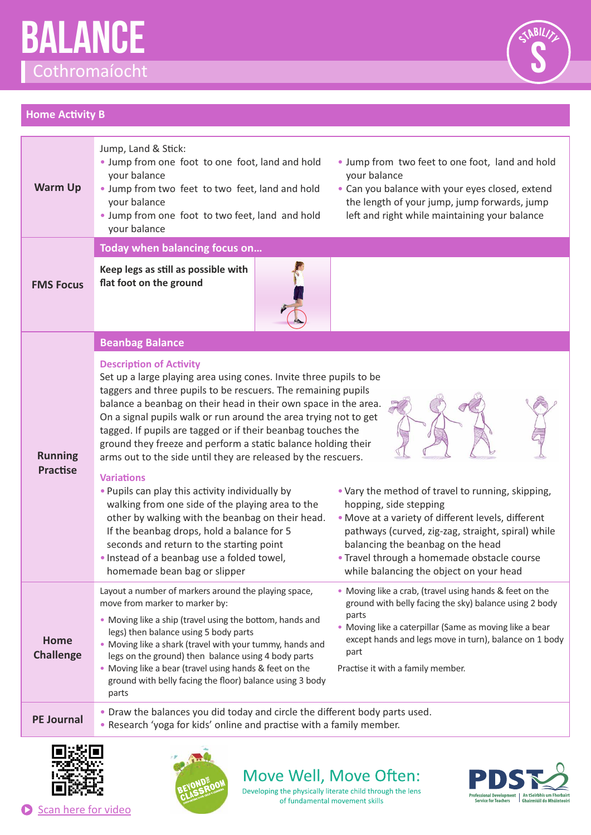







Scan here for video



Move Well, Move Often: Developing the physically literate child through the lens

of fundamental movement skills